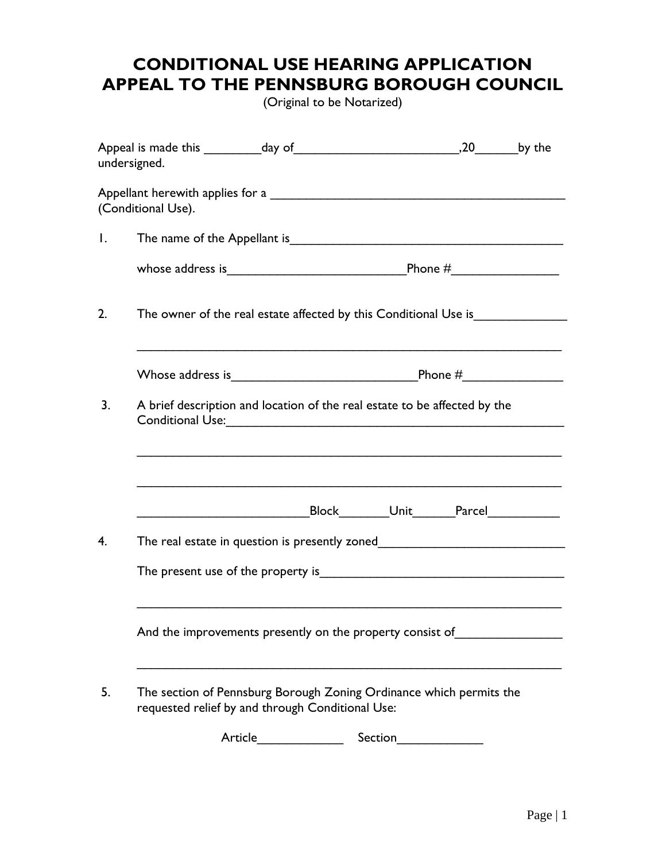## **CONDITIONAL USE HEARING APPLICATION APPEAL TO THE PENNSBURG BOROUGH COUNCIL**

(Original to be Notarized)

| undersigned.                                                                                                                                                                                      |                                                                                                                         |  |                                                |  |  |  |  |  |
|---------------------------------------------------------------------------------------------------------------------------------------------------------------------------------------------------|-------------------------------------------------------------------------------------------------------------------------|--|------------------------------------------------|--|--|--|--|--|
| (Conditional Use).                                                                                                                                                                                |                                                                                                                         |  |                                                |  |  |  |  |  |
| $\mathbf{I}$ .                                                                                                                                                                                    |                                                                                                                         |  |                                                |  |  |  |  |  |
|                                                                                                                                                                                                   |                                                                                                                         |  |                                                |  |  |  |  |  |
| 2.                                                                                                                                                                                                | The owner of the real estate affected by this Conditional Use is                                                        |  |                                                |  |  |  |  |  |
|                                                                                                                                                                                                   |                                                                                                                         |  |                                                |  |  |  |  |  |
| 3.<br>A brief description and location of the real estate to be affected by the<br>Conditional Use: 2008 - 2008 - 2010 - 2010 - 2010 - 2010 - 2010 - 2010 - 2010 - 2010 - 2010 - 2010 - 2010 - 20 |                                                                                                                         |  |                                                |  |  |  |  |  |
|                                                                                                                                                                                                   |                                                                                                                         |  |                                                |  |  |  |  |  |
|                                                                                                                                                                                                   |                                                                                                                         |  | Block__________Unit________Parcel_____________ |  |  |  |  |  |
| 4.                                                                                                                                                                                                | The real estate in question is presently zoned                                                                          |  |                                                |  |  |  |  |  |
|                                                                                                                                                                                                   |                                                                                                                         |  |                                                |  |  |  |  |  |
|                                                                                                                                                                                                   | And the improvements presently on the property consist of                                                               |  |                                                |  |  |  |  |  |
| 5.                                                                                                                                                                                                | The section of Pennsburg Borough Zoning Ordinance which permits the<br>requested relief by and through Conditional Use: |  |                                                |  |  |  |  |  |
|                                                                                                                                                                                                   | Article                                                                                                                 |  | Section                                        |  |  |  |  |  |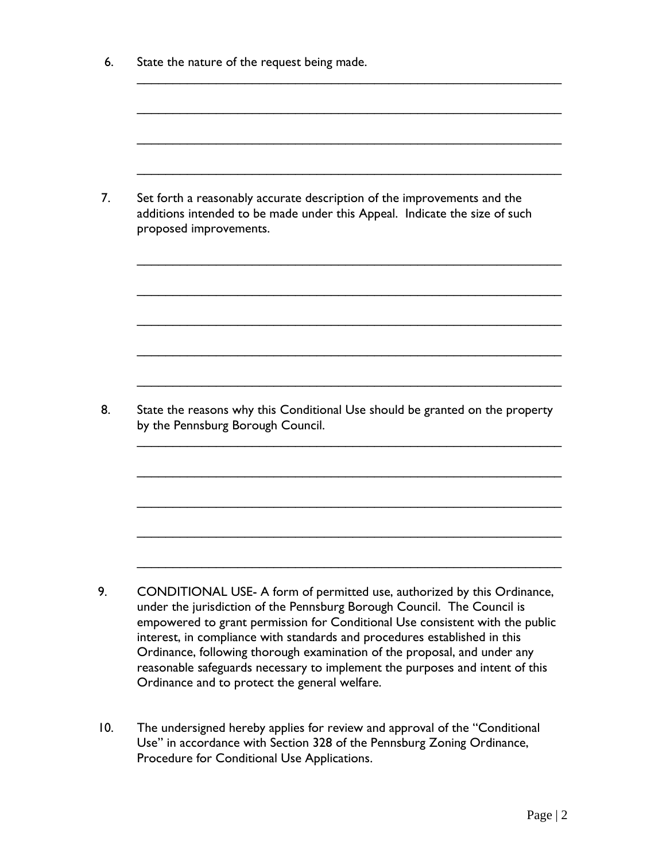| State the nature of the request being made.                                                                                                                                                                                                                                                                                                                                                                                                                                                                                  |  |  |  |  |
|------------------------------------------------------------------------------------------------------------------------------------------------------------------------------------------------------------------------------------------------------------------------------------------------------------------------------------------------------------------------------------------------------------------------------------------------------------------------------------------------------------------------------|--|--|--|--|
|                                                                                                                                                                                                                                                                                                                                                                                                                                                                                                                              |  |  |  |  |
|                                                                                                                                                                                                                                                                                                                                                                                                                                                                                                                              |  |  |  |  |
| Set forth a reasonably accurate description of the improvements and the<br>additions intended to be made under this Appeal. Indicate the size of such<br>proposed improvements.                                                                                                                                                                                                                                                                                                                                              |  |  |  |  |
|                                                                                                                                                                                                                                                                                                                                                                                                                                                                                                                              |  |  |  |  |
|                                                                                                                                                                                                                                                                                                                                                                                                                                                                                                                              |  |  |  |  |
| State the reasons why this Conditional Use should be granted on the property<br>by the Pennsburg Borough Council.                                                                                                                                                                                                                                                                                                                                                                                                            |  |  |  |  |
|                                                                                                                                                                                                                                                                                                                                                                                                                                                                                                                              |  |  |  |  |
|                                                                                                                                                                                                                                                                                                                                                                                                                                                                                                                              |  |  |  |  |
|                                                                                                                                                                                                                                                                                                                                                                                                                                                                                                                              |  |  |  |  |
| CONDITIONAL USE- A form of permitted use, authorized by this Ordinance,<br>under the jurisdiction of the Pennsburg Borough Council. The Council is<br>empowered to grant permission for Conditional Use consistent with the public<br>interest, in compliance with standards and procedures established in this<br>Ordinance, following thorough examination of the proposal, and under any<br>reasonable safeguards necessary to implement the purposes and intent of this<br>Ordinance and to protect the general welfare. |  |  |  |  |

10. The undersigned hereby applies for review and approval of the "Conditional Use" in accordance with Section 328 of the Pennsburg Zoning Ordinance, Procedure for Conditional Use Applications.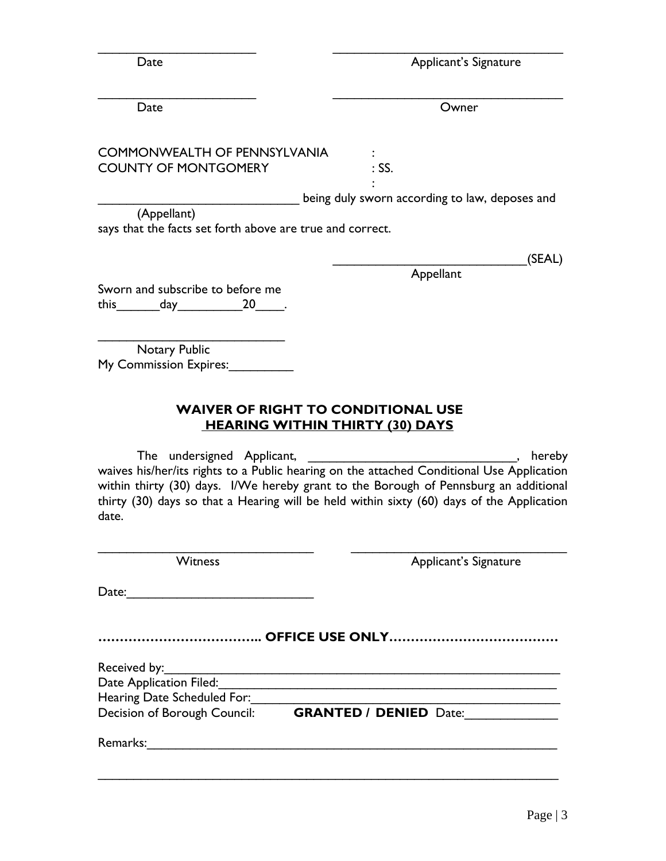| Date | Applicant's Signature |
|------|-----------------------|
|      |                       |

| Date                                                                       | Owner                                                                                                                                                                                                                                                                                    |
|----------------------------------------------------------------------------|------------------------------------------------------------------------------------------------------------------------------------------------------------------------------------------------------------------------------------------------------------------------------------------|
| <b>COMMONWEALTH OF PENNSYLVANIA</b><br><b>COUNTY OF MONTGOMERY</b>         | $:$ SS.                                                                                                                                                                                                                                                                                  |
|                                                                            | being duly sworn according to law, deposes and                                                                                                                                                                                                                                           |
| (Appellant)<br>says that the facts set forth above are true and correct.   |                                                                                                                                                                                                                                                                                          |
|                                                                            | (SEAL)                                                                                                                                                                                                                                                                                   |
| Sworn and subscribe to before me<br>this $\_\_\_\_day\_\_\_\_20\_\_\_\_$ . | Appellant                                                                                                                                                                                                                                                                                |
| Notary Public<br>My Commission Expires:                                    |                                                                                                                                                                                                                                                                                          |
|                                                                            | <b>WAIVER OF RIGHT TO CONDITIONAL USE</b><br><b>HEARING WITHIN THIRTY (30) DAYS</b>                                                                                                                                                                                                      |
| The undersigned Applicant,<br>date.                                        | hereby<br>waives his/her/its rights to a Public hearing on the attached Conditional Use Application<br>within thirty (30) days. I/We hereby grant to the Borough of Pennsburg an additional<br>thirty (30) days so that a Hearing will be held within sixty (60) days of the Application |
| <b>Witness</b>                                                             | Applicant's Signature                                                                                                                                                                                                                                                                    |
| Date:                                                                      |                                                                                                                                                                                                                                                                                          |
|                                                                            |                                                                                                                                                                                                                                                                                          |
| Received by:                                                               |                                                                                                                                                                                                                                                                                          |
|                                                                            |                                                                                                                                                                                                                                                                                          |
| Hearing Date Scheduled For:                                                |                                                                                                                                                                                                                                                                                          |
|                                                                            | Decision of Borough Council: <b>GRANTED / DENIED</b> Date:                                                                                                                                                                                                                               |
| Remarks:                                                                   |                                                                                                                                                                                                                                                                                          |

\_\_\_\_\_\_\_\_\_\_\_\_\_\_\_\_\_\_\_\_\_\_\_\_\_\_\_\_\_\_\_\_\_\_\_\_\_\_\_\_\_\_\_\_\_\_\_\_\_\_\_\_\_\_\_\_\_\_\_\_\_\_\_\_

\_\_\_\_\_\_\_\_\_\_\_\_\_\_\_\_\_\_\_\_\_\_ \_\_\_\_\_\_\_\_\_\_\_\_\_\_\_\_\_\_\_\_\_\_\_\_\_\_\_\_\_\_\_\_